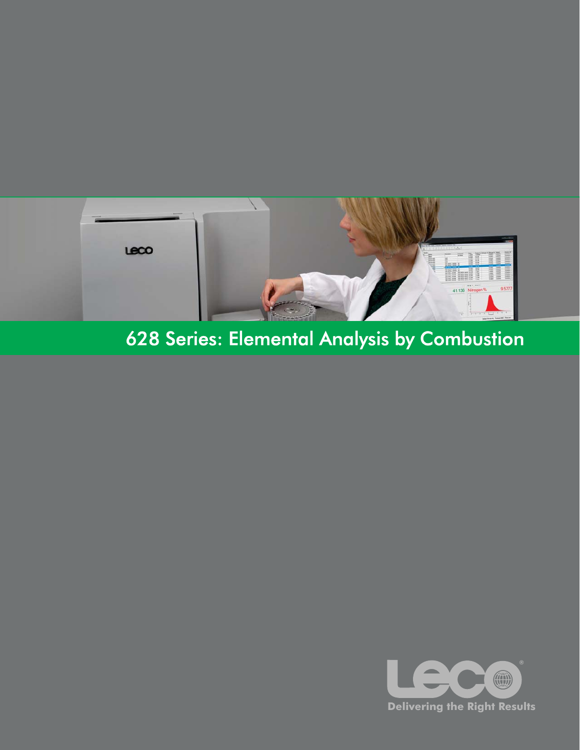

# 628 Series: Elemental Analysis by Combustion

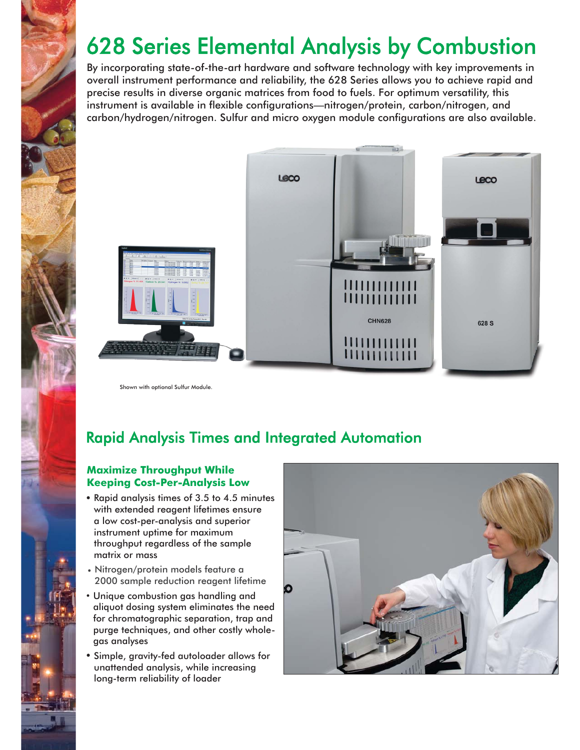# 628 Series Elemental Analysis by Combustion

By incorporating state-of-the-art hardware and software technology with key improvements in overall instrument performance and reliability, the 628 Series allows you to achieve rapid and precise results in diverse organic matrices from food to fuels. For optimum versatility, this instrument is available in flexible configurations—nitrogen/protein, carbon/nitrogen, and carbon/hydrogen/nitrogen. Sulfur and micro oxygen module configurations are also available.



Shown with optional Sulfur Module.

## Rapid Analysis Times and Integrated Automation

#### **Maximize Throughput While Keeping Cost-Per-Analysis Low**

- Rapid analysis times of 3.5 to 4.5 minutes with extended reagent lifetimes ensure a low cost-per-analysis and superior instrument uptime for maximum throughput regardless of the sample matrix or mass
- Nitrogen/protein models feature a 2000 sample reduction reagent lifetime
- Unique combustion gas handling and aliquot dosing system eliminates the need for chromatographic separation, trap and purge techniques, and other costly wholegas analyses
- Simple, gravity-fed autoloader allows for unattended analysis, while increasing long-term reliability of loader

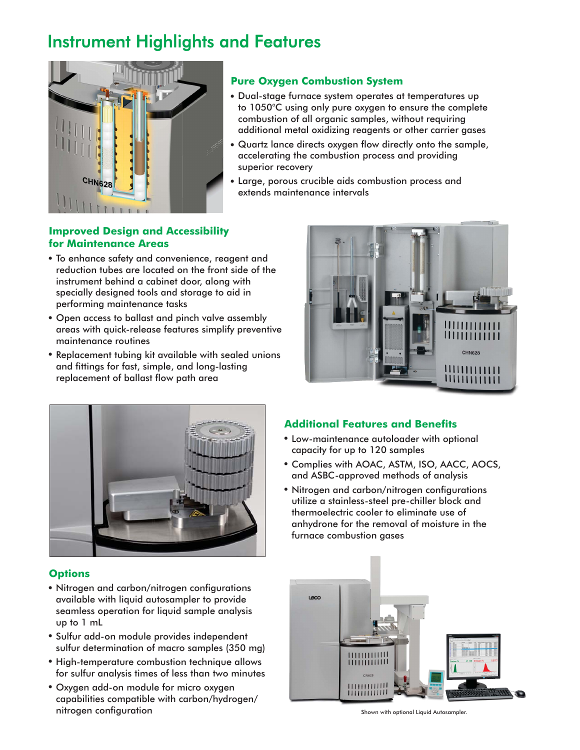## Instrument Highlights and Features



#### **Pure Oxygen Combustion System**

- Dual-stage furnace system operates at temperatures up to 1050°C using only pure oxygen to ensure the complete combustion of all organic samples, without requiring additional metal oxidizing reagents or other carrier gases
- Quartz lance directs oxygen flow directly onto the sample, accelerating the combustion process and providing superior recovery
- - Large, porous crucible aids combustion process and extends maintenance intervals

#### **Improved Design and Accessibility for Maintenance Areas**

- To enhance safety and convenience, reagent and reduction tubes are located on the front side of the instrument behind a cabinet door, along with specially designed tools and storage to aid in performing maintenance tasks
- Open access to ballast and pinch valve assembly areas with quick-release features simplify preventive maintenance routines
- Replacement tubing kit available with sealed unions and fittings for fast, simple, and long-lasting replacement of ballast flow path area





#### **Options**

- Nitrogen and carbon/nitrogen configurations available with liquid autosampler to provide seamless operation for liquid sample analysis up to 1 mL
- Sulfur add-on module provides independent sulfur determination of macro samples (350 mg)
- High-temperature combustion technique allows for sulfur analysis times of less than two minutes
- Oxygen add-on module for micro oxygen capabilities compatible with carbon/hydrogen/ nitrogen configuration

#### **Additional Features and Benefits**

- Low-maintenance autoloader with optional capacity for up to 120 samples
- Complies with AOAC, ASTM, ISO, AACC, AOCS, and ASBC-approved methods of analysis
- Nitrogen and carbon/nitrogen configurations utilize a stainless-steel pre-chiller block and thermoelectric cooler to eliminate use of anhydrone for the removal of moisture in the furnace combustion gases



Shown with optional Liquid Autosampler.